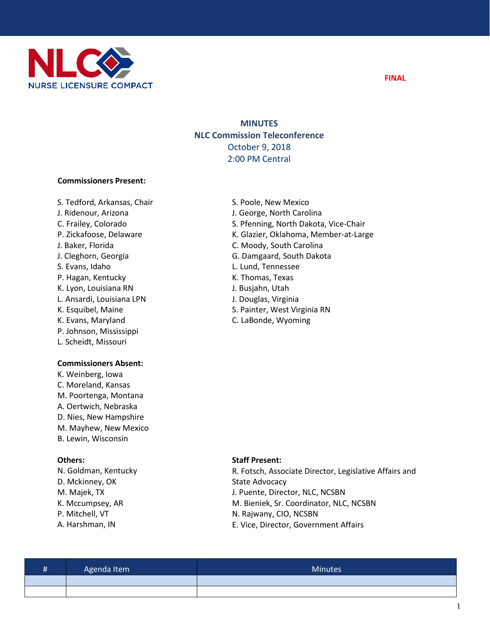

# **MINUTES NLC Commission Teleconference**  October 9, 2018 2:00 PM Central

## **Commissioners Present:**

S. Tedford, Arkansas, Chair J. Ridenour, Arizona C. Frailey, Colorado P. Zickafoose, Delaware J. Baker, Florida J. Cleghorn, Georgia S. Evans, Idaho P. Hagan, Kentucky K. Lyon, Louisiana RN L. Ansardi, Louisiana LPN K. Esquibel, Maine K. Evans, Maryland P. Johnson, Mississippi L. Scheidt, Missouri

## **Commissioners Absent:**

K. Weinberg, Iowa C. Moreland, Kansas M. Poortenga, Montana A. Oertwich, Nebraska D. Nies, New Hampshire M. Mayhew, New Mexico B. Lewin, Wisconsin

## **Others:**

N. Goldman, Kentucky D. Mckinney, OK M. Majek, TX K. Mccumpsey, AR P. Mitchell, VT A. Harshman, IN

- S. Poole, New Mexico J. George, North Carolina S. Pfenning, North Dakota, Vice-Chair K. Glazier, Oklahoma, Member-at-Large C. Moody, South Carolina G. Damgaard, South Dakota L. Lund, Tennessee K. Thomas, Texas J. Busjahn, Utah J. Douglas, Virginia S. Painter, West Virginia RN
- C. LaBonde, Wyoming

## **Staff Present:**

R. Fotsch, Associate Director, Legislative Affairs and State Advocacy J. Puente, Director, NLC, NCSBN M. Bieniek, Sr. Coordinator, NLC, NCSBN N. Rajwany, CIO, NCSBN E. Vice, Director, Government Affairs

| Ħ | Agenda Item | Minutes <sup>1</sup> |
|---|-------------|----------------------|
|   |             |                      |
|   |             |                      |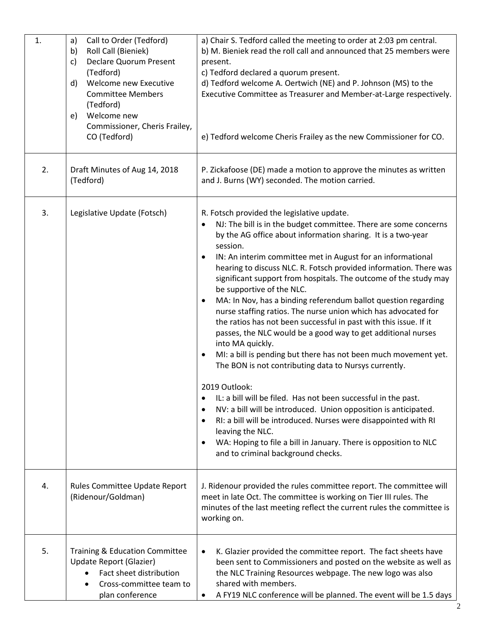| 1. | Call to Order (Tedford)<br>a)<br>Roll Call (Bieniek)<br>b)<br><b>Declare Quorum Present</b><br>c)<br>(Tedford)<br>Welcome new Executive<br>$\mathsf{d}$<br><b>Committee Members</b><br>(Tedford)<br>Welcome new<br>e)<br>Commissioner, Cheris Frailey,<br>CO (Tedford) | a) Chair S. Tedford called the meeting to order at 2:03 pm central.<br>b) M. Bieniek read the roll call and announced that 25 members were<br>present.<br>c) Tedford declared a quorum present.<br>d) Tedford welcome A. Oertwich (NE) and P. Johnson (MS) to the<br>Executive Committee as Treasurer and Member-at-Large respectively.<br>e) Tedford welcome Cheris Frailey as the new Commissioner for CO.                                                                                                                                                                                                                                                                                                                                                                                                                                                                                                                                                                                                                                                                                                                                                                                                                                           |
|----|------------------------------------------------------------------------------------------------------------------------------------------------------------------------------------------------------------------------------------------------------------------------|--------------------------------------------------------------------------------------------------------------------------------------------------------------------------------------------------------------------------------------------------------------------------------------------------------------------------------------------------------------------------------------------------------------------------------------------------------------------------------------------------------------------------------------------------------------------------------------------------------------------------------------------------------------------------------------------------------------------------------------------------------------------------------------------------------------------------------------------------------------------------------------------------------------------------------------------------------------------------------------------------------------------------------------------------------------------------------------------------------------------------------------------------------------------------------------------------------------------------------------------------------|
| 2. | Draft Minutes of Aug 14, 2018<br>(Tedford)                                                                                                                                                                                                                             | P. Zickafoose (DE) made a motion to approve the minutes as written<br>and J. Burns (WY) seconded. The motion carried.                                                                                                                                                                                                                                                                                                                                                                                                                                                                                                                                                                                                                                                                                                                                                                                                                                                                                                                                                                                                                                                                                                                                  |
| 3. | Legislative Update (Fotsch)                                                                                                                                                                                                                                            | R. Fotsch provided the legislative update.<br>NJ: The bill is in the budget committee. There are some concerns<br>by the AG office about information sharing. It is a two-year<br>session.<br>IN: An interim committee met in August for an informational<br>hearing to discuss NLC. R. Fotsch provided information. There was<br>significant support from hospitals. The outcome of the study may<br>be supportive of the NLC.<br>MA: In Nov, has a binding referendum ballot question regarding<br>nurse staffing ratios. The nurse union which has advocated for<br>the ratios has not been successful in past with this issue. If it<br>passes, the NLC would be a good way to get additional nurses<br>into MA quickly.<br>MI: a bill is pending but there has not been much movement yet.<br>The BON is not contributing data to Nursys currently.<br>2019 Outlook:<br>IL: a bill will be filed. Has not been successful in the past.<br>$\bullet$<br>NV: a bill will be introduced. Union opposition is anticipated.<br>$\bullet$<br>RI: a bill will be introduced. Nurses were disappointed with RI<br>$\bullet$<br>leaving the NLC.<br>WA: Hoping to file a bill in January. There is opposition to NLC<br>and to criminal background checks. |
| 4. | Rules Committee Update Report<br>(Ridenour/Goldman)                                                                                                                                                                                                                    | J. Ridenour provided the rules committee report. The committee will<br>meet in late Oct. The committee is working on Tier III rules. The<br>minutes of the last meeting reflect the current rules the committee is<br>working on.                                                                                                                                                                                                                                                                                                                                                                                                                                                                                                                                                                                                                                                                                                                                                                                                                                                                                                                                                                                                                      |
| 5. | Training & Education Committee<br>Update Report (Glazier)<br>Fact sheet distribution<br>Cross-committee team to<br>plan conference                                                                                                                                     | K. Glazier provided the committee report. The fact sheets have<br>$\bullet$<br>been sent to Commissioners and posted on the website as well as<br>the NLC Training Resources webpage. The new logo was also<br>shared with members.<br>A FY19 NLC conference will be planned. The event will be 1.5 days                                                                                                                                                                                                                                                                                                                                                                                                                                                                                                                                                                                                                                                                                                                                                                                                                                                                                                                                               |